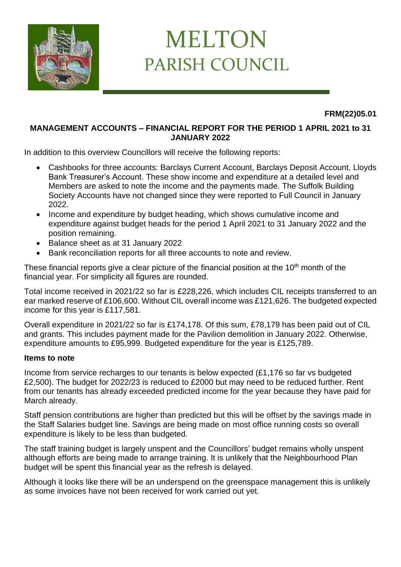

## MELTON PARISH COUNCIL

**FRM(22)05.01**

## **MANAGEMENT ACCOUNTS – FINANCIAL REPORT FOR THE PERIOD 1 APRIL 2021 to 31 JANUARY 2022**

In addition to this overview Councillors will receive the following reports:

- Cashbooks for three accounts: Barclays Current Account, Barclays Deposit Account, Lloyds Bank Treasurer's Account. These show income and expenditure at a detailed level and Members are asked to note the income and the payments made. The Suffolk Building Society Accounts have not changed since they were reported to Full Council in January 2022.
- Income and expenditure by budget heading, which shows cumulative income and expenditure against budget heads for the period 1 April 2021 to 31 January 2022 and the position remaining.
- Balance sheet as at 31 January 2022
- Bank reconciliation reports for all three accounts to note and review.

These financial reports give a clear picture of the financial position at the  $10<sup>th</sup>$  month of the financial year. For simplicity all figures are rounded.

Total income received in 2021/22 so far is £228,226, which includes CIL receipts transferred to an ear marked reserve of £106,600. Without CIL overall income was £121,626. The budgeted expected income for this year is £117,581.

Overall expenditure in 2021/22 so far is £174,178. Of this sum, £78,179 has been paid out of CIL and grants. This includes payment made for the Pavilion demolition in January 2022. Otherwise, expenditure amounts to £95,999. Budgeted expenditure for the year is £125,789.

## **Items to note**

Income from service recharges to our tenants is below expected (£1,176 so far vs budgeted £2,500). The budget for 2022/23 is reduced to £2000 but may need to be reduced further. Rent from our tenants has already exceeded predicted income for the year because they have paid for March already.

Staff pension contributions are higher than predicted but this will be offset by the savings made in the Staff Salaries budget line. Savings are being made on most office running costs so overall expenditure is likely to be less than budgeted.

The staff training budget is largely unspent and the Councillors' budget remains wholly unspent although efforts are being made to arrange training. It is unlikely that the Neighbourhood Plan budget will be spent this financial year as the refresh is delayed.

Although it looks like there will be an underspend on the greenspace management this is unlikely as some invoices have not been received for work carried out yet.